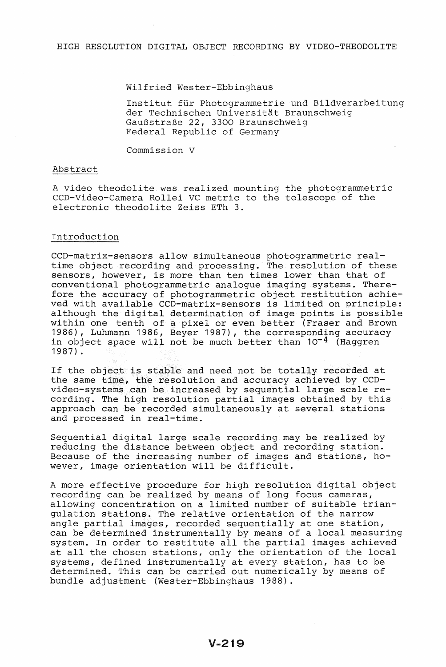#### Wilfried Wester-Ebbinghaus

Institut für Photogrammetrie und Bildverarbeitung der Technischen Universitat Braunschweig GauBstraBe 22, 3300 Braunschweig Federal Republic of Germany

Commission V

#### Abstract

A video theodolite was realized mounting the photogrammetric CCD-Video-Camera Rollei VC metric to the telescope of the electronic theodolite Zeiss ETh 3.

# Introduction

CCD-matrix-sensors allow simultaneous photogrammetric realtime object recording and processing. The resolution of these sensors, however, is more than ten times lower than that of conventional photogrammetric analogue imaging systems. Therefore the accuracy of photogrammetric object restitution achieved with available CCD-matrix-sensors is limited on principle: although the digital determination of image points is possible within one tenth of a pixel or even better (Fraser and Brown 1986), Luhmann 1986, Beyer 1987), the corresponding accuracy is  $\frac{1}{2}$  corresponding assuments of  $\frac{1}{2}$  object space will not be much better than  $10^{-4}$  (Haggren 1987).

If the object is stable and need not be totally recorded at the same time, the resolution and accuracy achieved by CCDvideo~systems can be increased by sequential large scale recording. The high resolution partial images obtained by this approach can be recorded simultaneously at several stations and processed in real-time.

Sequential digital large scale recording may be realized by reducing the distance between object and recording station. Because of the increasing number of images and stations, however, image orientation will be difficult.

A more effective procedure for high resolution digital object recording can be realized by means of long focus cameras, allowing concentration on a limited number of suitable triangulation stations. The relative orientation of the narrow angle partial images, recorded sequentially at one station, can be determined instrumentally by means of a local measuring system. In order to restitute all the partial images achieved at all the chosen stations, only the orientation of the local systems, defined instrumentally at every station, has to be determined. This can be carried out numerically by means of bundle adjustment (Wester-Ebbinghaus 1988).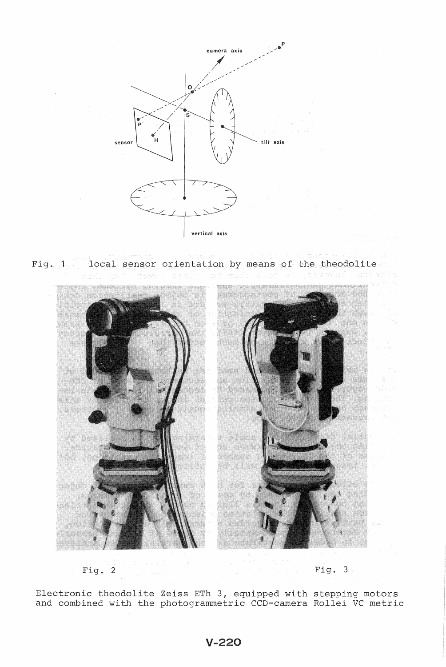

Fig. 1 local sensor orientation by means of the theodolite



 $Fig. 3$ 

Electronic theodolite Zeiss ETh 3, equipped with stepping motors and combined with the photogrammetric CCD-camera Rollei VC metric

# $V-220$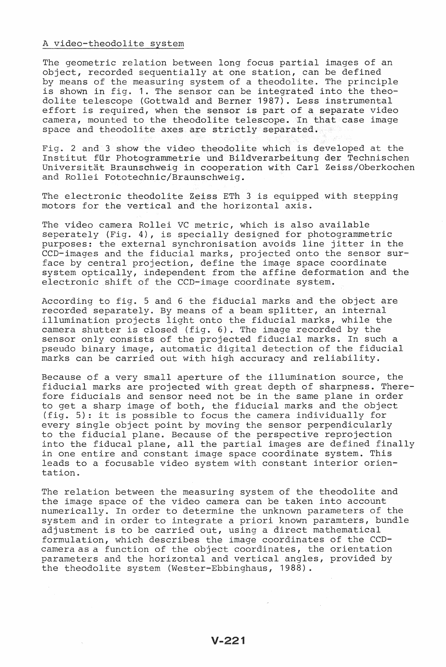#### A video-theodolite system

The geometric relation between long focus partial images of an object, recorded sequentially at one station, can defined by means of the measuring system of a theodolite. The principle is shown in fig. 1. The sensor can be integrated into the theodolite telescope (Gottwald and Berner 1987). Less instrumental effort is required, when the sensor is part of a separate video camera, mounted to the theodolite telescope. In that case image space and theodolite axes are strictly separated.

Fig. 2 and 3 show the video theodolite which is developed at the Institut fur Photogrammetrie und Bildverarbeitung der Technischen Universität Braunschweig in cooperation with Carl Zeiss/Oberkochen and Rollei Fototechnic/Braunschweig.

The electronic theodolite Zeiss ETh 3 is equipped with stepping motors the vertical and the horizontal axis.

The video camera Rollei VC metric, which is also available seperately (Fig. 4), is specially designed for photogrammetric purposes: the external synchronisation avoids line jitter in the ccD-images and the fiducial marks, projected onto the sensor surface by central projection, define the image space coordinate system optically, independent from the affine deformation and the electronic shift of the CCD-image coordinate system.

According to fig. 5 and 6 the fiducial marks and the object are recorded separately. By means of a beam splitter, an internal illumination projects light onto the fiducial marks, while the camera shutter is closed (fig. 6). The image recorded by the sensor only consists of the projected fiducial marks. In such a pseudo binary image, automatic digital detection of the fiducial marks can be carried out with high accuracy and reliability.

Because of a very small aperture of the illumination source, the fiducial marks are projected with great depth of sharpness. Therefore fiducials and sensor need not be in the same plane in order to get a sharp image of both, the fiducial marks and the object (fig. 5): it is possible to focus the camera individually for every single object point by moving the sensor perpendicularly to the fiducial plane. Because of the perspective reprojection into the fiducal plane, all the partial images are defined finally in one entire and constant image space coordinate system. This leads to a focusable video system with constant interior orientation.

The relation between the measuring system of the theodolite and the image space of the video camera can be taken into account numerically. In order to determine the unknown parameters of the system and in order to integrate a priori known paramters, bundle adjustment is to be carried out, using a direct mathematical formulation, which describes the image coordinates of the CCDcamera as a function of the object coordinates, the orientation parameters and the horizontal and vertical angles, provided by the theodolite system (Wester-Ebbinghaus, 1988).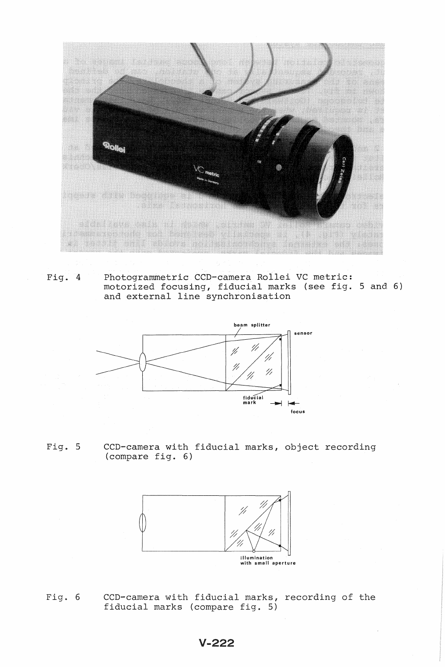

Fig. 4 Photogrammetric CCD-camera Rollei VC metric: motorized focusing, fiducial marks (see fig. 5 and 6) and external line synchronisation



Fig. 5 CCD-camera with fiducial marks, object recording (compare fig. 6)



Fig. 6 CCD-camera with fiducial marks, recording of the fiducial marks (compare fig. 5)

# $V - 222$